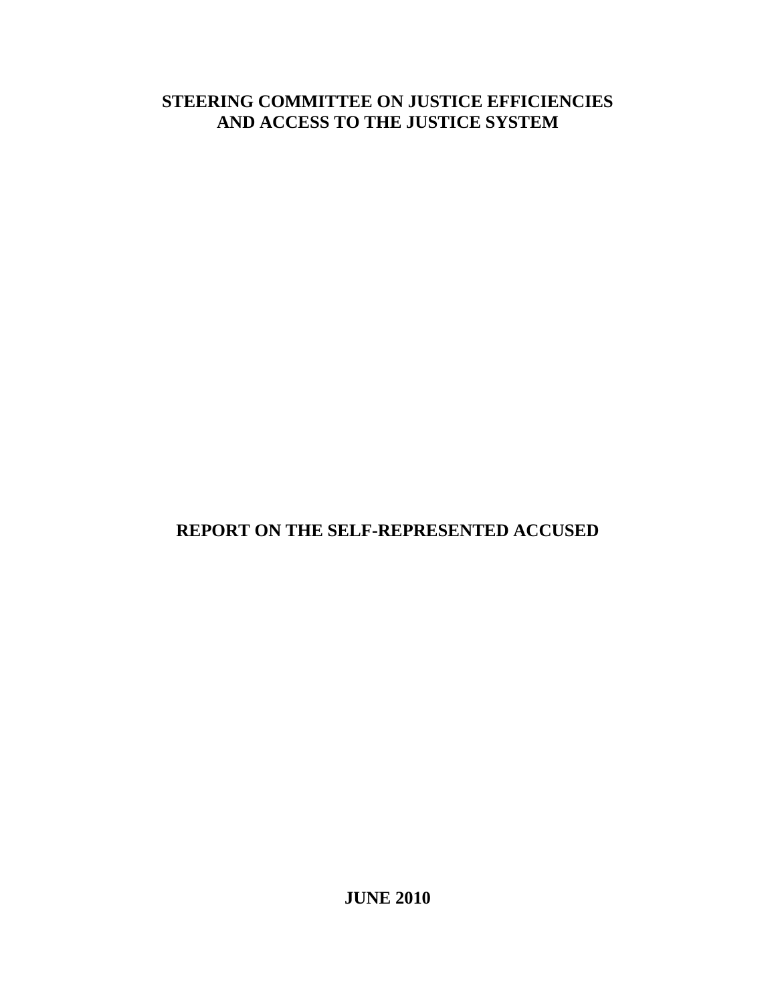# **STEERING COMMITTEE ON JUSTICE EFFICIENCIES AND ACCESS TO THE JUSTICE SYSTEM**

# **REPORT ON THE SELF-REPRESENTED ACCUSED**

**JUNE 2010**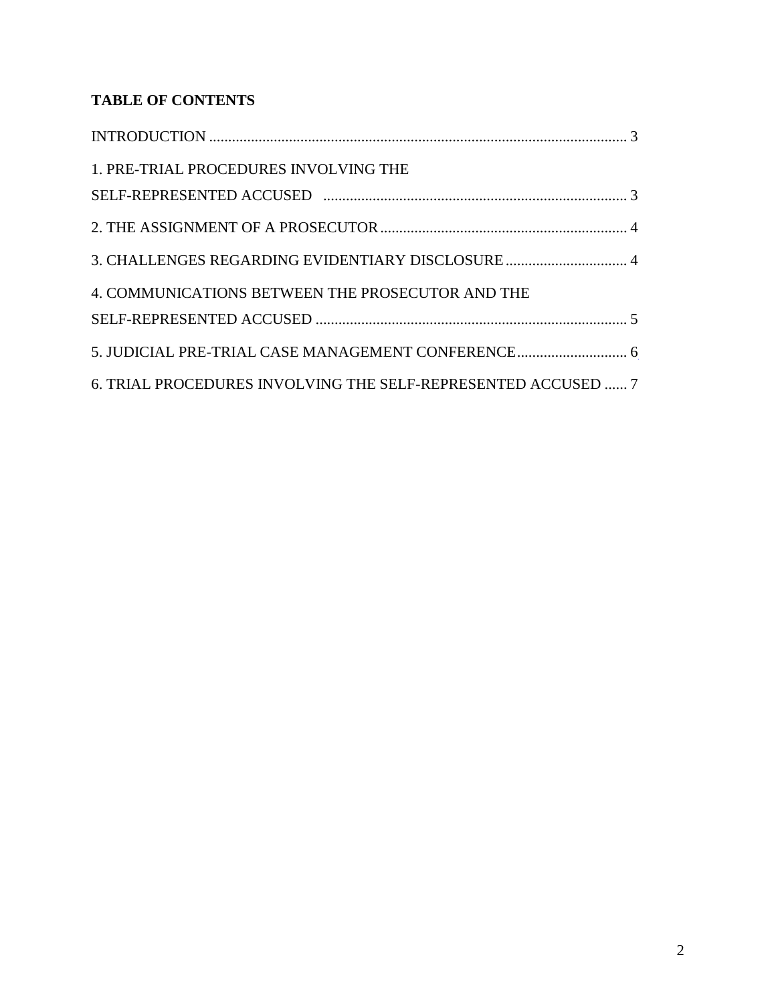# **TABLE OF CONTENTS**

| 1. PRE-TRIAL PROCEDURES INVOLVING THE                         |  |
|---------------------------------------------------------------|--|
|                                                               |  |
|                                                               |  |
| 3. CHALLENGES REGARDING EVIDENTIARY DISCLOSURE  4             |  |
| 4. COMMUNICATIONS BETWEEN THE PROSECUTOR AND THE              |  |
|                                                               |  |
| 5. JUDICIAL PRE-TRIAL CASE MANAGEMENT CONFERENCE 6            |  |
| 6. TRIAL PROCEDURES INVOLVING THE SELF-REPRESENTED ACCUSED  7 |  |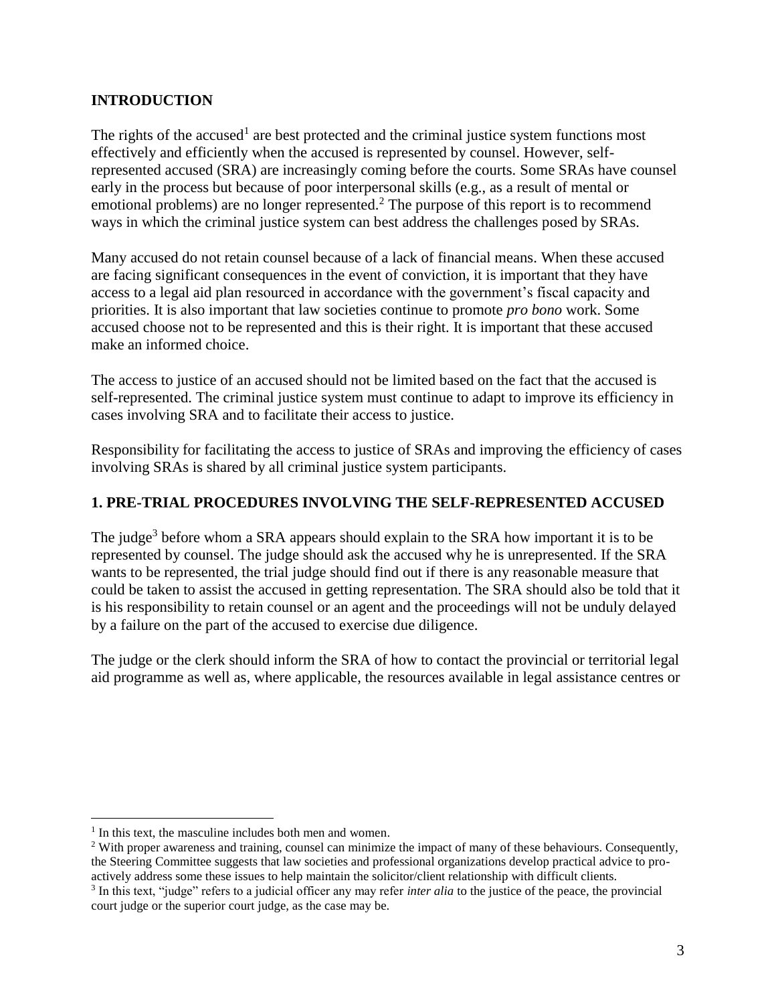#### <span id="page-2-0"></span>**INTRODUCTION**

The rights of the accused<sup>1</sup> are best protected and the criminal justice system functions most effectively and efficiently when the accused is represented by counsel. However, selfrepresented accused (SRA) are increasingly coming before the courts. Some SRAs have counsel early in the process but because of poor interpersonal skills (e.g., as a result of mental or emotional problems) are no longer represented.<sup>2</sup> The purpose of this report is to recommend ways in which the criminal justice system can best address the challenges posed by SRAs.

Many accused do not retain counsel because of a lack of financial means. When these accused are facing significant consequences in the event of conviction, it is important that they have access to a legal aid plan resourced in accordance with the government's fiscal capacity and priorities. It is also important that law societies continue to promote *pro bono* work. Some accused choose not to be represented and this is their right. It is important that these accused make an informed choice.

The access to justice of an accused should not be limited based on the fact that the accused is self-represented. The criminal justice system must continue to adapt to improve its efficiency in cases involving SRA and to facilitate their access to justice.

Responsibility for facilitating the access to justice of SRAs and improving the efficiency of cases involving SRAs is shared by all criminal justice system participants.

### <span id="page-2-1"></span>**1. PRE-TRIAL PROCEDURES INVOLVING THE SELF-REPRESENTED ACCUSED**

The judge<sup>3</sup> before whom a SRA appears should explain to the SRA how important it is to be represented by counsel. The judge should ask the accused why he is unrepresented. If the SRA wants to be represented, the trial judge should find out if there is any reasonable measure that could be taken to assist the accused in getting representation. The SRA should also be told that it is his responsibility to retain counsel or an agent and the proceedings will not be unduly delayed by a failure on the part of the accused to exercise due diligence.

The judge or the clerk should inform the SRA of how to contact the provincial or territorial legal aid programme as well as, where applicable, the resources available in legal assistance centres or

 $\overline{a}$ 

<sup>&</sup>lt;sup>1</sup> In this text, the masculine includes both men and women.

<sup>&</sup>lt;sup>2</sup> With proper awareness and training, counsel can minimize the impact of many of these behaviours. Consequently, the Steering Committee suggests that law societies and professional organizations develop practical advice to proactively address some these issues to help maintain the solicitor/client relationship with difficult clients. 3 In this text, "judge" refers to a judicial officer any may refer *inter alia* to the justice of the peace, the provincial court judge or the superior court judge, as the case may be.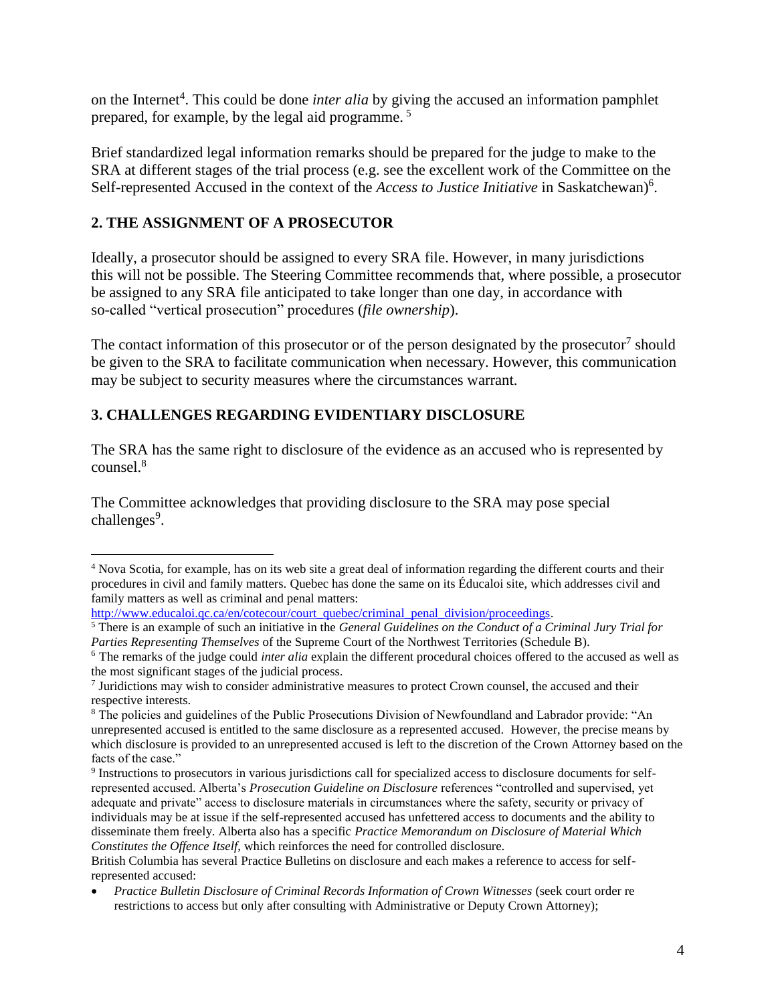on the Internet<sup>4</sup>. This could be done *inter alia* by giving the accused an information pamphlet prepared, for example, by the legal aid programme. <sup>5</sup>

Brief standardized legal information remarks should be prepared for the judge to make to the SRA at different stages of the trial process (e.g. see the excellent work of the Committee on the Self-represented Accused in the context of the *Access to Justice Initiative* in Saskatchewan)<sup>6</sup>.

## <span id="page-3-0"></span>**2. THE ASSIGNMENT OF A PROSECUTOR**

Ideally, a prosecutor should be assigned to every SRA file. However, in many jurisdictions this will not be possible. The Steering Committee recommends that, where possible, a prosecutor be assigned to any SRA file anticipated to take longer than one day, in accordance with so-called "vertical prosecution" procedures (*file ownership*).

The contact information of this prosecutor or of the person designated by the prosecutor<sup>7</sup> should be given to the SRA to facilitate communication when necessary. However, this communication may be subject to security measures where the circumstances warrant.

# <span id="page-3-1"></span>**3. CHALLENGES REGARDING EVIDENTIARY DISCLOSURE**

The SRA has the same right to disclosure of the evidence as an accused who is represented by counsel.<sup>8</sup>

The Committee acknowledges that providing disclosure to the SRA may pose special challenges<sup>9</sup>.

[http://www.educaloi.qc.ca/en/cotecour/court\\_quebec/criminal\\_penal\\_division/proceedings.](http://www.educaloi.qc.ca/en/cotecour/court_quebec/criminal_penal_division/proceedings)

 $\overline{a}$ <sup>4</sup> Nova Scotia, for example, has on its web site a great deal of information regarding the different courts and their procedures in civil and family matters. Quebec has done the same on its Éducaloi site, which addresses civil and family matters as well as criminal and penal matters:

<sup>5</sup> There is an example of such an initiative in the *General Guidelines on the Conduct of a Criminal Jury Trial for Parties Representing Themselves* of the Supreme Court of the Northwest Territories (Schedule B).

<sup>6</sup> The remarks of the judge could *inter alia* explain the different procedural choices offered to the accused as well as the most significant stages of the judicial process.

<sup>&</sup>lt;sup>7</sup> Juridictions may wish to consider administrative measures to protect Crown counsel, the accused and their respective interests.

<sup>8</sup> The policies and guidelines of the Public Prosecutions Division of Newfoundland and Labrador provide: "An unrepresented accused is entitled to the same disclosure as a represented accused. However, the precise means by which disclosure is provided to an unrepresented accused is left to the discretion of the Crown Attorney based on the facts of the case."

<sup>9</sup> Instructions to prosecutors in various jurisdictions call for specialized access to disclosure documents for selfrepresented accused. Alberta's *Prosecution Guideline on Disclosure* references "controlled and supervised, yet adequate and private" access to disclosure materials in circumstances where the safety, security or privacy of individuals may be at issue if the self-represented accused has unfettered access to documents and the ability to disseminate them freely. Alberta also has a specific *Practice Memorandum on Disclosure of Material Which Constitutes the Offence Itself*, which reinforces the need for controlled disclosure.

British Columbia has several Practice Bulletins on disclosure and each makes a reference to access for selfrepresented accused:

*Practice Bulletin Disclosure of Criminal Records Information of Crown Witnesses* (seek court order re restrictions to access but only after consulting with Administrative or Deputy Crown Attorney);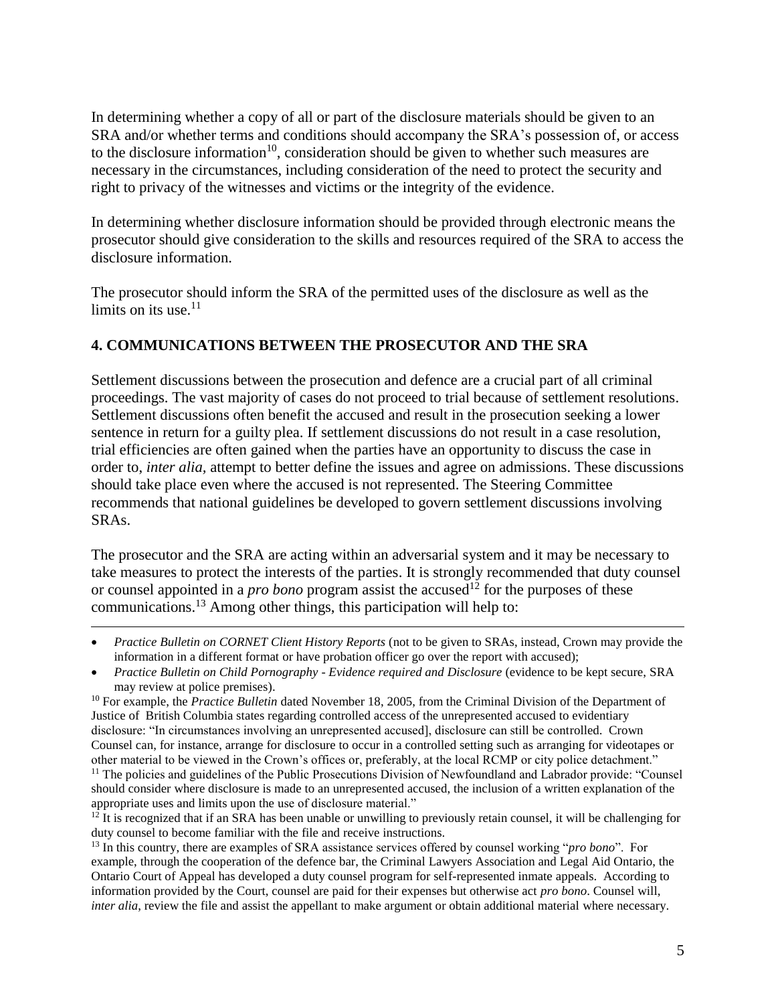In determining whether a copy of all or part of the disclosure materials should be given to an SRA and/or whether terms and conditions should accompany the SRA's possession of, or access to the disclosure information<sup>10</sup>, consideration should be given to whether such measures are necessary in the circumstances, including consideration of the need to protect the security and right to privacy of the witnesses and victims or the integrity of the evidence.

In determining whether disclosure information should be provided through electronic means the prosecutor should give consideration to the skills and resources required of the SRA to access the disclosure information.

The prosecutor should inform the SRA of the permitted uses of the disclosure as well as the limits on its use. $11$ 

## <span id="page-4-0"></span>**4. COMMUNICATIONS BETWEEN THE PROSECUTOR AND THE SRA**

Settlement discussions between the prosecution and defence are a crucial part of all criminal proceedings. The vast majority of cases do not proceed to trial because of settlement resolutions. Settlement discussions often benefit the accused and result in the prosecution seeking a lower sentence in return for a guilty plea. If settlement discussions do not result in a case resolution, trial efficiencies are often gained when the parties have an opportunity to discuss the case in order to, *inter alia,* attempt to better define the issues and agree on admissions. These discussions should take place even where the accused is not represented. The Steering Committee recommends that national guidelines be developed to govern settlement discussions involving SRAs.

The prosecutor and the SRA are acting within an adversarial system and it may be necessary to take measures to protect the interests of the parties. It is strongly recommended that duty counsel or counsel appointed in a *pro bono* program assist the accused<sup>12</sup> for the purposes of these communications.<sup>13</sup> Among other things, this participation will help to:

 *Practice Bulletin on CORNET Client History Reports* (not to be given to SRAs, instead, Crown may provide the information in a different format or have probation officer go over the report with accused);

 $\overline{a}$ 

<sup>10</sup> For example, the *Practice Bulletin* dated November 18, 2005, from the Criminal Division of the Department of Justice of British Columbia states regarding controlled access of the unrepresented accused to evidentiary disclosure: "In circumstances involving an unrepresented accused], disclosure can still be controlled. Crown Counsel can, for instance, arrange for disclosure to occur in a controlled setting such as arranging for videotapes or other material to be viewed in the Crown's offices or, preferably, at the local RCMP or city police detachment."

<sup>11</sup> The policies and guidelines of the Public Prosecutions Division of Newfoundland and Labrador provide: "Counsel should consider where disclosure is made to an unrepresented accused, the inclusion of a written explanation of the appropriate uses and limits upon the use of disclosure material."

 $12$  It is recognized that if an SRA has been unable or unwilling to previously retain counsel, it will be challenging for duty counsel to become familiar with the file and receive instructions.

<sup>13</sup> In this country, there are examples of SRA assistance services offered by counsel working "*pro bono*". For example, through the cooperation of the defence bar, the Criminal Lawyers Association and Legal Aid Ontario, the Ontario Court of Appeal has developed a duty counsel program for self-represented inmate appeals. According to information provided by the Court, counsel are paid for their expenses but otherwise act *pro bono*. Counsel will, *inter alia*, review the file and assist the appellant to make argument or obtain additional material where necessary.

*Practice Bulletin on Child Pornography* - *Evidence required and Disclosure* (evidence to be kept secure, SRA may review at police premises).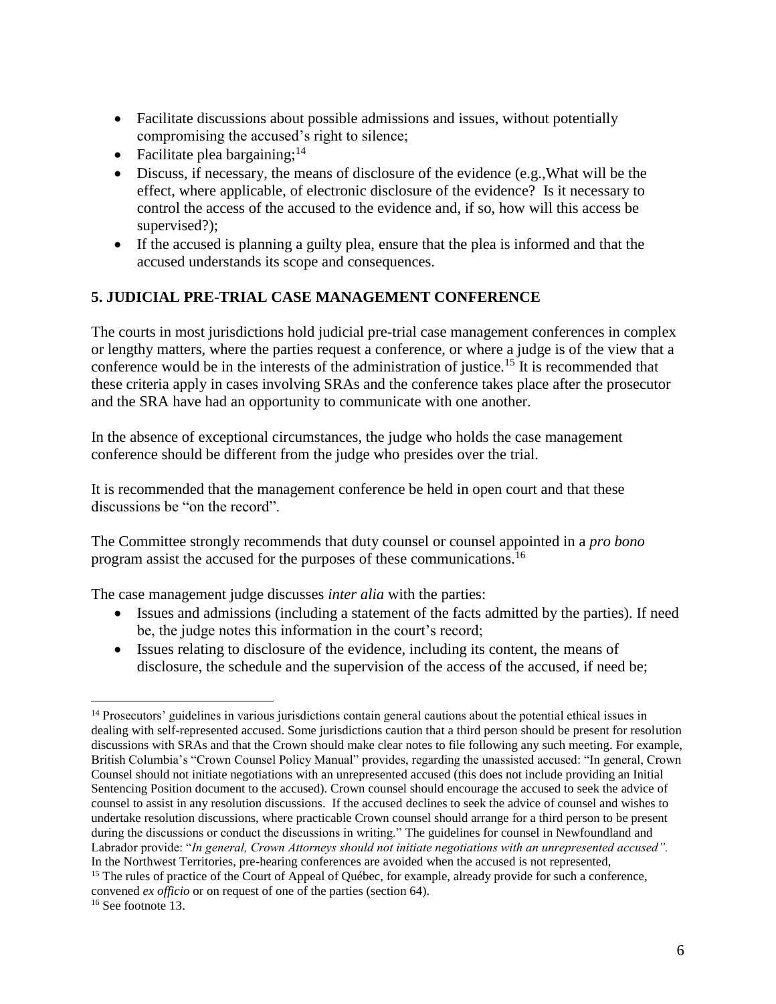- Facilitate discussions about possible admissions and issues, without potentially compromising the accused's right to silence;
- Facilitate plea bargaining;  $14$
- Discuss, if necessary, the means of disclosure of the evidence (e.g.,What will be the effect, where applicable, of electronic disclosure of the evidence? Is it necessary to control the access of the accused to the evidence and, if so, how will this access be supervised?);
- If the accused is planning a guilty plea, ensure that the plea is informed and that the accused understands its scope and consequences.

#### <span id="page-5-0"></span>**5. JUDICIAL PRE-TRIAL CASE MANAGEMENT CONFERENCE**

The courts in most jurisdictions hold judicial pre-trial case management conferences in complex or lengthy matters, where the parties request a conference, or where a judge is of the view that a conference would be in the interests of the administration of justice.<sup>15</sup> It is recommended that these criteria apply in cases involving SRAs and the conference takes place after the prosecutor and the SRA have had an opportunity to communicate with one another.

In the absence of exceptional circumstances, the judge who holds the case management conference should be different from the judge who presides over the trial.

It is recommended that the management conference be held in open court and that these discussions be "on the record".

The Committee strongly recommends that duty counsel or counsel appointed in a *pro bono*  program assist the accused for the purposes of these communications.<sup>16</sup>

The case management judge discusses *inter alia* with the parties:

- Issues and admissions (including a statement of the facts admitted by the parties). If need be, the judge notes this information in the court's record;
- Issues relating to disclosure of the evidence, including its content, the means of disclosure, the schedule and the supervision of the access of the accused, if need be;

 $\overline{a}$ <sup>14</sup> Prosecutors' guidelines in various jurisdictions contain general cautions about the potential ethical issues in dealing with self-represented accused. Some jurisdictions caution that a third person should be present for resolution discussions with SRAs and that the Crown should make clear notes to file following any such meeting. For example, British Columbia's "Crown Counsel Policy Manual" provides, regarding the unassisted accused: "In general, Crown Counsel should not initiate negotiations with an unrepresented accused (this does not include providing an Initial Sentencing Position document to the accused). Crown counsel should encourage the accused to seek the advice of counsel to assist in any resolution discussions. If the accused declines to seek the advice of counsel and wishes to undertake resolution discussions, where practicable Crown counsel should arrange for a third person to be present during the discussions or conduct the discussions in writing." The guidelines for counsel in Newfoundland and Labrador provide: "*In general, Crown Attorneys should not initiate negotiations with an unrepresented accused".* In the Northwest Territories, pre-hearing conferences are avoided when the accused is not represented, <sup>15</sup> The rules of practice of the Court of Appeal of Québec, for example, already provide for such a conference,

convened *ex officio* or on request of one of the parties (section 64).

<sup>&</sup>lt;sup>16</sup> See footnote 13.